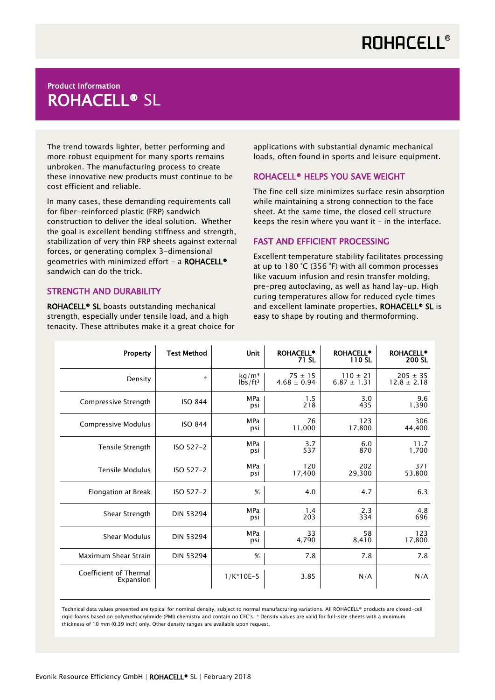# Product Information ROHACELL® SL

The trend towards lighter, better performing and more robust equipment for many sports remains unbroken. The manufacturing process to create these innovative new products must continue to be cost efficient and reliable.

In many cases, these demanding requirements call for fiber-reinforced plastic (FRP) sandwich construction to deliver the ideal solution. Whether the goal is excellent bending stiffness and strength, stabilization of very thin FRP sheets against external forces, or generating complex 3-dimensional geometries with minimized effort - a ROHACELL® sandwich can do the trick.

### STRENGTH AND DURABILITY

ROHACELL® SL boasts outstanding mechanical strength, especially under tensile load, and a high tenacity. These attributes make it a great choice for

applications with substantial dynamic mechanical loads, often found in sports and leisure equipment.

### ROHACELL® HELPS YOU SAVE WEIGHT

The fine cell size minimizes surface resin absorption while maintaining a strong connection to the face sheet. At the same time, the closed cell structure keeps the resin where you want it – in the interface.

### FAST AND EFFICIENT PROCESSING

Excellent temperature stability facilitates processing at up to 180 °C (356 °F) with all common processes like vacuum infusion and resin transfer molding, pre-preg autoclaving, as well as hand lay-up. High curing temperatures allow for reduced cycle times and excellent laminate properties. ROHACELL<sup>®</sup> SL is easy to shape by routing and thermoforming.

| Property                            | <b>Test Method</b> | <b>Unit</b>                              | <b>ROHACELL®</b><br>71 SL      | <b>ROHACELL®</b><br>110 SL      | <b>ROHACELL®</b><br>200 SL      |
|-------------------------------------|--------------------|------------------------------------------|--------------------------------|---------------------------------|---------------------------------|
| Density                             | $\star$            | kg/m <sup>3</sup><br>lbs/ft <sup>3</sup> | $75 \pm 15$<br>$4.68 \pm 0.94$ | $110 \pm 21$<br>$6.87 \pm 1.31$ | $205 \pm 35$<br>$12.8 \pm 2.18$ |
| Compressive Strength                | <b>ISO 844</b>     | MPa<br>psi                               | 1.5<br>218                     | 3.0<br>435                      | 9.6<br>1,390                    |
| Compressive Modulus                 | <b>ISO 844</b>     | <b>MPa</b><br>psi                        | 76<br>11,000                   | 123<br>17,800                   | 306<br>44,400                   |
| Tensile Strength                    | ISO 527-2          | <b>MPa</b><br>psi                        | 3.7<br>537                     | 6.0<br>870                      | 11.7<br>1,700                   |
| <b>Tensile Modulus</b>              | ISO 527-2          | <b>MPa</b><br>psi                        | 120<br>17,400                  | 202<br>29,300                   | 371<br>53,800                   |
| Elongation at Break                 | ISO 527-2          | %                                        | 4.0                            | 4.7                             | 6.3                             |
| Shear Strength                      | <b>DIN 53294</b>   | <b>MPa</b><br>psi                        | 1.4<br>203                     | 2.3<br>334                      | 4.8<br>696                      |
| <b>Shear Modulus</b>                | <b>DIN 53294</b>   | <b>MPa</b><br>psi                        | 33<br>4,790                    | 58<br>8,410                     | 123<br>17,800                   |
| Maximum Shear Strain                | <b>DIN 53294</b>   | %                                        | 7.8                            | 7.8                             | 7.8                             |
| Coefficient of Thermal<br>Expansion |                    | $1/K*10E-5$                              | 3.85                           | N/A                             | N/A                             |

Technical data values presented are typical for nominal density, subject to normal manufacturing variations. All ROHACELL® products are closed-cell rigid foams based on polymethacrylimide (PMI) chemistry and contain no CFC's. \* Density values are valid for full-size sheets with a minimum thickness of 10 mm (0.39 inch) only. Other density ranges are available upon request.